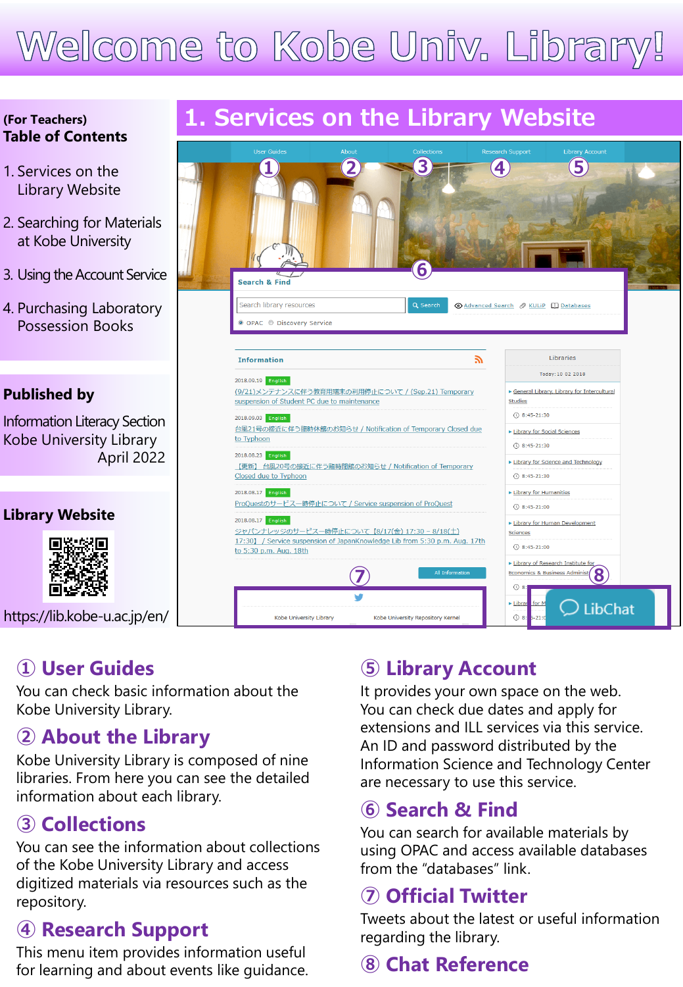# Welcome to Kobe Univ. Library!

#### **(For Teachers) Table of Contents**

- 1. Services on the Library Website
- 2. Searching for Materials at Kobe University
- 3. Using the Account Service
- 4. Purchasing Laboratory Possession Books

#### **Published by**

Information Literacy Section Kobe University Library April 2022

#### **Library Website**



<https://lib.kobe-u.ac.jp/en/>

### **① User Guides**

You can check basic information about the Kobe University Library.

#### **② About the Library**

Kobe University Library is composed of nine libraries. From here you can see the detailed information about each library.

### **③ Collections**

You can see the information about collections of the Kobe University Library and access digitized materials via resources such as the repository.

### **④ Research Support**

This menu item provides information useful for learning and about events like guidance.

# **1. Services on the Library Website**



### **⑤ Library Account**

It provides your own space on the web. You can check due dates and apply for extensions and ILL services via this service. An ID and password distributed by the Information Science and Technology Center are necessary to use this service.

#### **⑥ Search & Find**

You can search for available materials by using OPAC and access available databases from the "databases" link.

#### **⑦ Official Twitter**

Tweets about the latest or useful information regarding the library.

# **⑧ Chat Reference**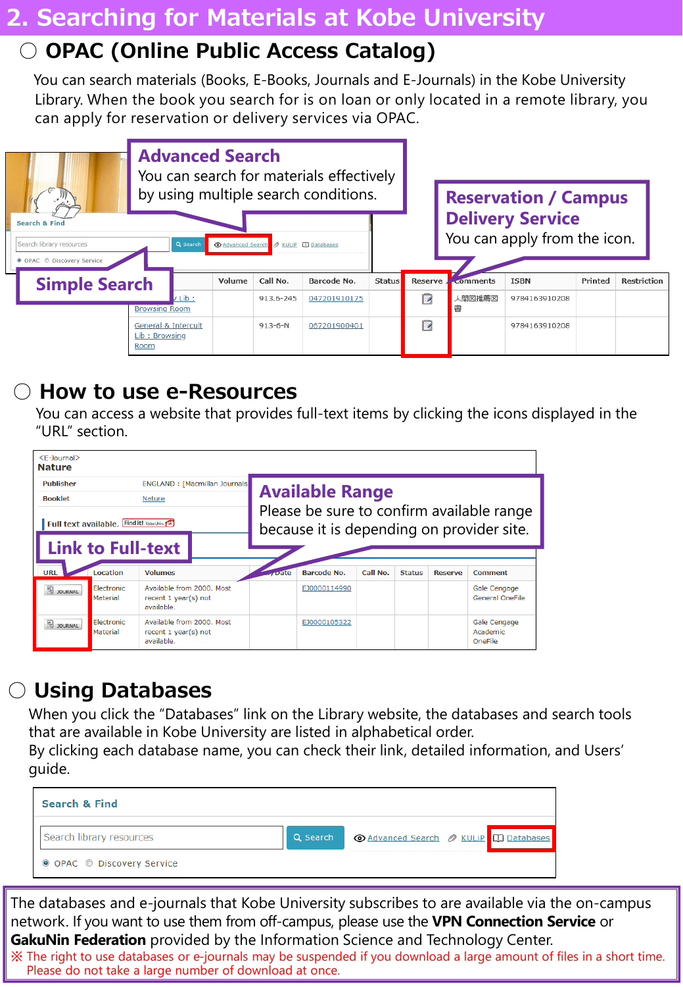### **2. Searching for Materials at Kobe University**

# ○ **OPAC (Online Public Access Catalog)**

You can search materials (Books, E-Books, Journals and E-Journals) in the Kobe University Library. When the book you search for is on loan or only located in a remote library, you can apply for reservation or delivery services via OPAC.



### ○ **How to use e-Resources**

You can access a website that provides full-text items by clicking the icons displayed in the "URL" section.

| $E-Journal$<br><b>Nature</b>              |                                |                                                                 |                                                                                        |                    |          |               |                |                                        |  |
|-------------------------------------------|--------------------------------|-----------------------------------------------------------------|----------------------------------------------------------------------------------------|--------------------|----------|---------------|----------------|----------------------------------------|--|
| <b>Publisher</b>                          | ENGLAND : [Macmillan Journals] |                                                                 |                                                                                        |                    |          |               |                |                                        |  |
| <b>Booklet</b>                            |                                | <b>Nature</b>                                                   | <b>Available Range</b>                                                                 |                    |          |               |                |                                        |  |
| Full text available. Find it! Kobe Univ.  |                                |                                                                 | Please be sure to confirm available range<br>because it is depending on provider site. |                    |          |               |                |                                        |  |
| <b>Link to Full-text</b>                  |                                |                                                                 |                                                                                        |                    |          |               |                |                                        |  |
| <b>URL</b>                                | Location                       | <b>Volumes</b>                                                  | <b>Conte</b>                                                                           | <b>Barcode No.</b> | Call No. | <b>Status</b> | <b>Reserve</b> | Comment                                |  |
| $\overline{\mathbf{e}}$<br><b>JOURNAL</b> | <b>Flectronic</b><br>Material  | Available from 2000. Most<br>recent 1 year(s) not<br>available. |                                                                                        | EJ0000114990       |          |               |                | Gale Cengage<br><b>General OneFile</b> |  |
| <b>DE JOURNAL</b>                         | Electronic<br>Material         | Available from 2000, Most<br>recent 1 year(s) not<br>available. |                                                                                        | EJ0000105322       |          |               |                | Gale Cengage<br>Academic<br>OneFile    |  |

# ○ **Using Databases**

When you click the "Databases" link on the Library website, the databases and search tools that are available in Kobe University are listed in alphabetical order.

By clicking each database name, you can check their link, detailed information, and Users' guide.



The databases and e-journals that Kobe University subscribes to are available via the on-campus network. If you want to use them from off-campus, please use the **VPN Connection Service** or **GakuNin Federation** provided by the Information Science and Technology Center.

※ The right to use databases or e-journals may be suspended if you download a large amount of files in a short time. Please do not take a large number of download at once.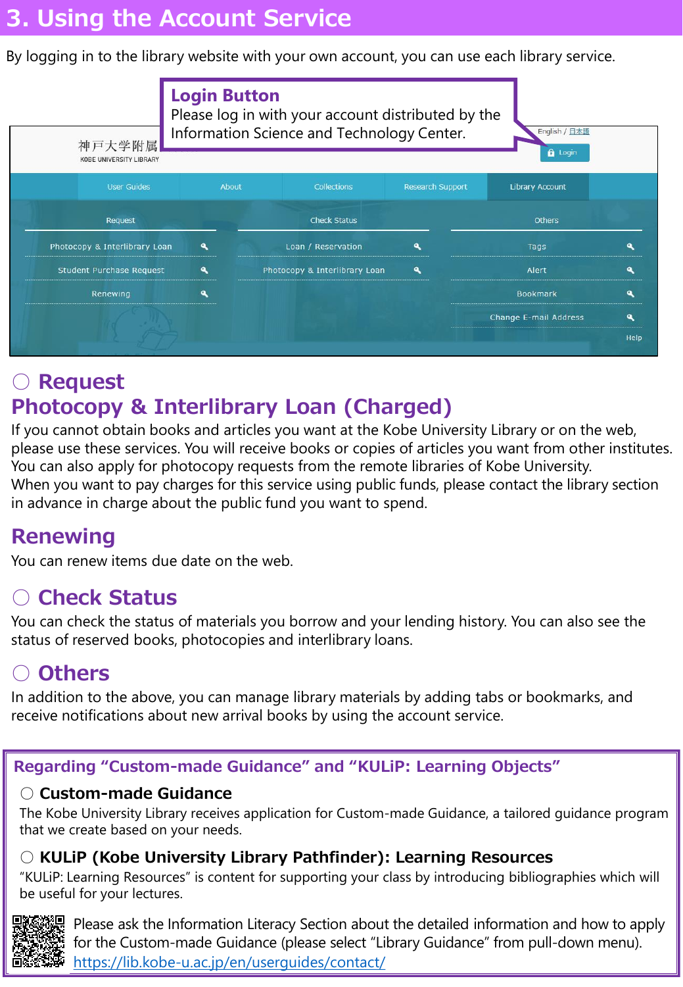# **3. Using the Account Service**

By logging in to the library website with your own account, you can use each library service.



# **○ Request Photocopy & Interlibrary Loan (Charged)**

If you cannot obtain books and articles you want at the Kobe University Library or on the web, please use these services. You will receive books or copies of articles you want from other institutes. You can also apply for photocopy requests from the remote libraries of Kobe University. When you want to pay charges for this service using public funds, please contact the library section in advance in charge about the public fund you want to spend.

### **Renewing**

You can renew items due date on the web.

### **○ Check Status**

You can check the status of materials you borrow and your lending history. You can also see the status of reserved books, photocopies and interlibrary loans.

# **○ Others**

In addition to the above, you can manage library materials by adding tabs or bookmarks, and receive notifications about new arrival books by using the account service.

#### **Regarding "Custom-made Guidance" and "KULiP: Learning Objects"**

#### **○ Custom-made Guidance**

The Kobe University Library receives application for Custom-made Guidance, a tailored guidance program that we create based on your needs.

#### **○ KULiP (Kobe University Library Pathfinder): Learning Resources**

"KULiP: Learning Resources" is content for supporting your class by introducing bibliographies which will be useful for your lectures.



Please ask the Information Literacy Section about the detailed information and how to apply for the Custom-made Guidance (please select "Library Guidance" from pull-down menu). <https://lib.kobe-u.ac.jp/en/userguides/contact/>